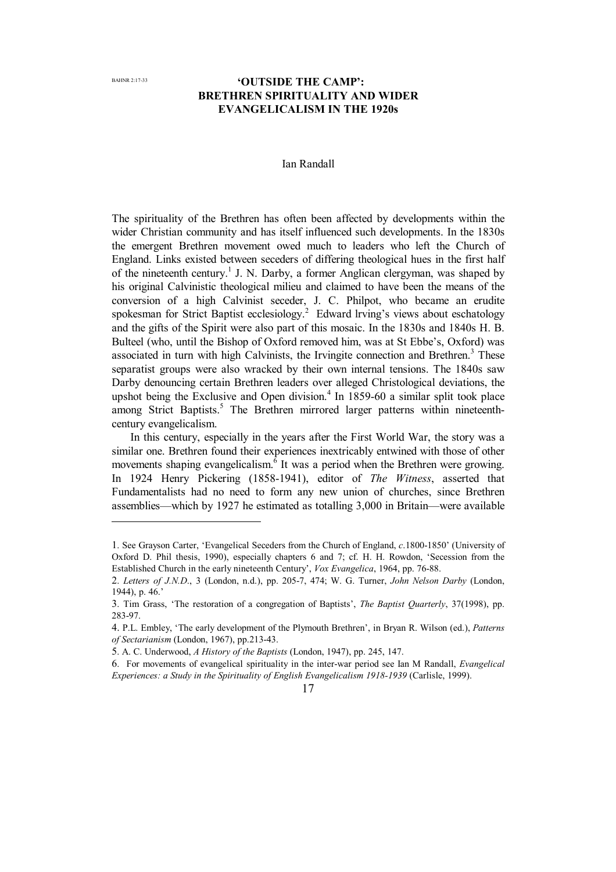$\overline{a}$ 

# **'OUTSIDE THE CAMP': BRETHREN SPIRITUALITY AND WIDER EVANGELICALISM IN THE 1920s**

### Ian Randall

The spirituality of the Brethren has often been affected by developments within the wider Christian community and has itself influenced such developments. In the 1830s the emergent Brethren movement owed much to leaders who left the Church of England. Links existed between seceders of differing theological hues in the first half of the nineteenth century. 1 J. N. Darby, a former Anglican clergyman, was shaped by his original Calvinistic theological milieu and claimed to have been the means of the conversion of a high Calvinist seceder, J. C. Philpot, who became an erudite spokesman for Strict Baptist ecclesiology.<sup>2</sup> Edward lrving's views about eschatology and the gifts of the Spirit were also part of this mosaic. In the 1830s and 1840s H. B. Bulteel (who, until the Bishop of Oxford removed him, was at St Ebbe's, Oxford) was associated in turn with high Calvinists, the Irvingite connection and Brethren.<sup>3</sup> These separatist groups were also wracked by their own internal tensions. The 1840s saw Darby denouncing certain Brethren leaders over alleged Christological deviations, the upshot being the Exclusive and Open division. $4$  In 1859-60 a similar split took place among Strict Baptists.<sup>5</sup> The Brethren mirrored larger patterns within nineteenthcentury evangelicalism.

In this century, especially in the years after the First World War, the story was a similar one. Brethren found their experiences inextricably entwined with those of other movements shaping evangelicalism.  $\overline{6}$  It was a period when the Brethren were growing. In 1924 Henry Pickering (1858-1941), editor of *The Witness*, asserted that Fundamentalists had no need to form any new union of churches, since Brethren assemblies—which by 1927 he estimated as totalling 3,000 in Britain—were available

<sup>1</sup>. See Grayson Carter, 'Evangelical Seceders from the Church of England, *c*.1800-1850' (University of Oxford D. Phil thesis, 1990), especially chapters 6 and 7; cf. H. H. Rowdon, 'Secession from the Established Church in the early nineteenth Century', *Vox Evangelica*, 1964, pp. 76-88.

<sup>2</sup>. *Letters of J.N.D*., 3 (London, n.d.), pp. 205-7, 474; W. G. Turner, *John Nelson Darby* (London, 1944), p. 46.'

<sup>3</sup>. Tim Grass, 'The restoration of a congregation of Baptists', *The Baptist Quarterly*, 37(1998), pp. 283-97.

<sup>4.</sup> P.L. Embley, 'The early development of the Plymouth Brethren', in Bryan R. Wilson (ed.), *Patterns of Sectarianism* (London, 1967), pp.213-43.

<sup>5</sup>. A. C. Underwood, *A History of the Baptists* (London, 1947), pp. 245, 147.

<sup>6</sup>. For movements of evangelical spirituality in the inter-war period see Ian M Randall, *Evangelical Experiences: a Study in the Spirituality of English Evangelicalism 1918-1939* (Carlisle, 1999).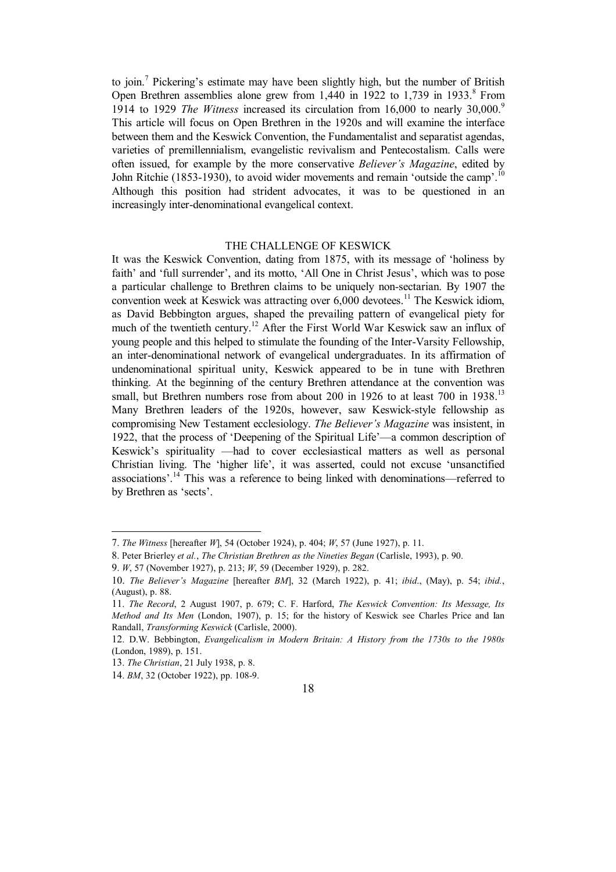to join.<sup>7</sup> Pickering's estimate may have been slightly high, but the number of British Open Brethren assemblies alone grew from  $1,440$  in 1922 to  $1,739$  in 1933.<sup>8</sup> From 1914 to 1929 *The Witness* increased its circulation from 16,000 to nearly 30,000.<sup>9</sup> This article will focus on Open Brethren in the 1920s and will examine the interface between them and the Keswick Convention, the Fundamentalist and separatist agendas, varieties of premillennialism, evangelistic revivalism and Pentecostalism. Calls were often issued, for example by the more conservative *Believer's Magazine*, edited by John Ritchie (1853-1930), to avoid wider movements and remain 'outside the camp'.<sup>10</sup> Although this position had strident advocates, it was to be questioned in an increasingly inter-denominational evangelical context.

## THE CHALLENGE OF KESWICK

It was the Keswick Convention, dating from 1875, with its message of 'holiness by faith' and 'full surrender', and its motto, 'All One in Christ Jesus', which was to pose a particular challenge to Brethren claims to be uniquely non-sectarian. By 1907 the convention week at Keswick was attracting over 6,000 devotees.<sup>11</sup> The Keswick idiom, as David Bebbington argues, shaped the prevailing pattern of evangelical piety for much of the twentieth century. <sup>12</sup> After the First World War Keswick saw an influx of young people and this helped to stimulate the founding of the Inter-Varsity Fellowship, an inter-denominational network of evangelical undergraduates. In its affirmation of undenominational spiritual unity, Keswick appeared to be in tune with Brethren thinking. At the beginning of the century Brethren attendance at the convention was small, but Brethren numbers rose from about 200 in 1926 to at least 700 in 1938.<sup>13</sup> Many Brethren leaders of the 1920s, however, saw Keswick-style fellowship as compromising New Testament ecclesiology. *The Believer's Magazine* was insistent, in 1922, that the process of 'Deepening of the Spiritual Life'—a common description of Keswick's spirituality —had to cover ecclesiastical matters as well as personal Christian living. The 'higher life', it was asserted, could not excuse 'unsanctified associations'.<sup>14</sup> This was a reference to being linked with denominations—referred to by Brethren as 'sects'.

 $\overline{a}$ 

<sup>7</sup>. *The Witness* [hereafter *W*], 54 (October 1924), p. 404; *W*, 57 (June 1927), p. 11.

<sup>8</sup>. Peter Brierley *et al.*, *The Christian Brethren as the Nineties Began* (Carlisle, 1993), p. 90.

<sup>9</sup>. *W*, 57 (November 1927), p. 213; *W*, 59 (December 1929), p. 282.

<sup>10.</sup> *The Believer's Magazine* [hereafter *BM*], 32 (March 1922), p. 41; *ibid*., (May), p. 54; *ibid.*, (August), p. 88.

<sup>11</sup>. *The Record*, 2 August 1907, p. 679; C. F. Harford, *The Keswick Convention: Its Message, Its Method and Its Men* (London, 1907), p. 15; for the history of Keswick see Charles Price and Ian Randall, *Transforming Keswick* (Carlisle, 2000).

<sup>12</sup>. D.W. Bebbington, *Evangelicalism in Modern Britain: A History from the 1730s to the 1980s* (London, 1989), p. 151.

<sup>13</sup>. *The Christian*, 21 July 1938, p. 8.

<sup>14</sup>. *BM*, 32 (October 1922), pp. 108-9.

<sup>18</sup>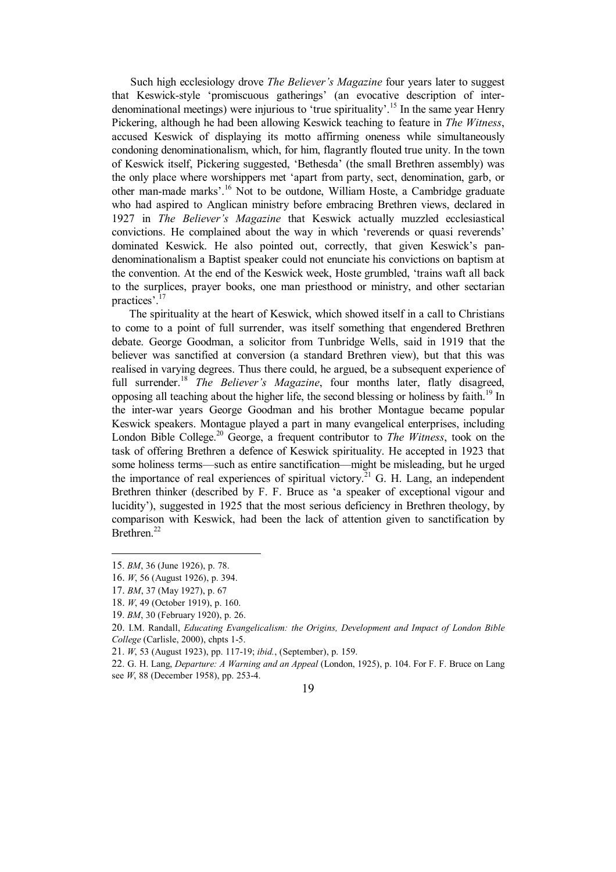Such high ecclesiology drove *The Believer's Magazine* four years later to suggest that Keswick-style 'promiscuous gatherings' (an evocative description of interdenominational meetings) were injurious to 'true spirituality'.<sup>15</sup> In the same year Henry Pickering, although he had been allowing Keswick teaching to feature in *The Witness*, accused Keswick of displaying its motto affirming oneness while simultaneously condoning denominationalism, which, for him, flagrantly flouted true unity. In the town of Keswick itself, Pickering suggested, 'Bethesda' (the small Brethren assembly) was the only place where worshippers met 'apart from party, sect, denomination, garb, or other man-made marks'.<sup>16</sup> Not to be outdone, William Hoste, a Cambridge graduate who had aspired to Anglican ministry before embracing Brethren views, declared in 1927 in *The Believer's Magazine* that Keswick actually muzzled ecclesiastical convictions. He complained about the way in which 'reverends or quasi reverends' dominated Keswick. He also pointed out, correctly, that given Keswick's pandenominationalism a Baptist speaker could not enunciate his convictions on baptism at the convention. At the end of the Keswick week, Hoste grumbled, 'trains waft all back to the surplices, prayer books, one man priesthood or ministry, and other sectarian practices'.<sup>17</sup>

The spirituality at the heart of Keswick, which showed itself in a call to Christians to come to a point of full surrender, was itself something that engendered Brethren debate. George Goodman, a solicitor from Tunbridge Wells, said in 1919 that the believer was sanctified at conversion (a standard Brethren view), but that this was realised in varying degrees. Thus there could, he argued, be a subsequent experience of full surrender.<sup>18</sup> *The Believer's Magazine*, four months later, flatly disagreed, opposing all teaching about the higher life, the second blessing or holiness by faith.<sup>19</sup> In the inter-war years George Goodman and his brother Montague became popular Keswick speakers. Montague played a part in many evangelical enterprises, including London Bible College.<sup>20</sup> George, a frequent contributor to *The Witness*, took on the task of offering Brethren a defence of Keswick spirituality. He accepted in 1923 that some holiness terms—such as entire sanctification—might be misleading, but he urged the importance of real experiences of spiritual victory.<sup>21</sup> G. H. Lang, an independent Brethren thinker (described by F. F. Bruce as 'a speaker of exceptional vigour and lucidity'), suggested in 1925 that the most serious deficiency in Brethren theology, by comparison with Keswick, had been the lack of attention given to sanctification by Brethren.<sup>22</sup>

 $\overline{a}$ 

<sup>15</sup>. *BM*, 36 (June 1926), p. 78.

<sup>16.</sup> *W*, 56 (August 1926), p. 394.

<sup>17.</sup> *BM*, 37 (May 1927), p. 67

<sup>18.</sup> *W*, 49 (October 1919), p. 160.

<sup>19</sup>. *BM*, 30 (February 1920), p. 26.

<sup>20.</sup> I.M. Randall, *Educating Evangelicalism: the Origins, Development and Impact of London Bible College* (Carlisle, 2000), chpts 1-5.

<sup>21</sup>. *W*, 53 (August 1923), pp. 117-19; *ibid.*, (September), p. 159.

<sup>22</sup>. G. H. Lang, *Departure: A Warning and an Appeal* (London, 1925), p. 104. For F. F. Bruce on Lang see *W*, 88 (December 1958), pp. 253-4.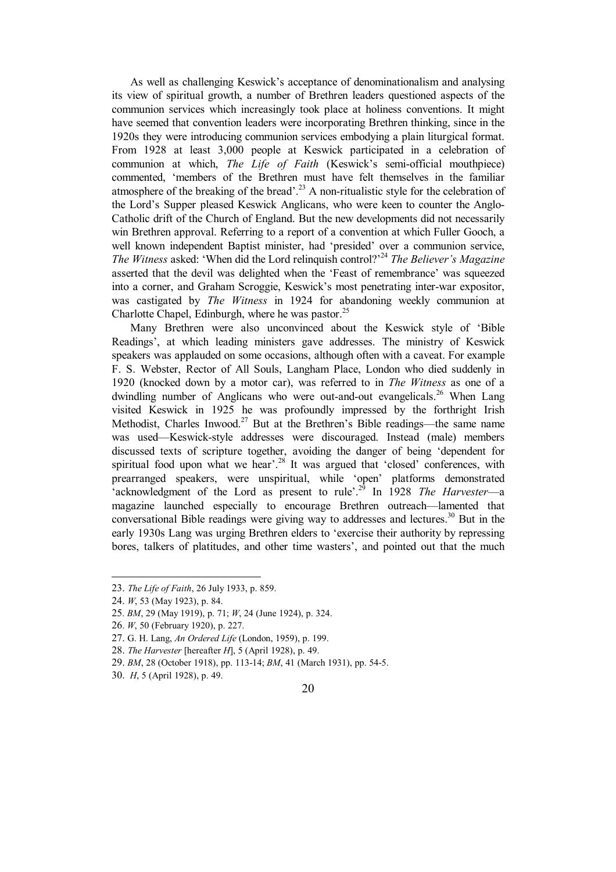As well as challenging Keswick's acceptance of denominationalism and analysing its view of spiritual growth, a number of Brethren leaders questioned aspects of the communion services which increasingly took place at holiness conventions. It might have seemed that convention leaders were incorporating Brethren thinking, since in the 1920s they were introducing communion services embodying a plain liturgical format. From 1928 at least 3,000 people at Keswick participated in a celebration of communion at which, *The Life of Faith* (Keswick's semi-official mouthpiece) commented, 'members of the Brethren must have felt themselves in the familiar atmosphere of the breaking of the bread'.<sup>23</sup> A non-ritualistic style for the celebration of the Lord's Supper pleased Keswick Anglicans, who were keen to counter the Anglo-Catholic drift of the Church of England. But the new developments did not necessarily win Brethren approval. Referring to a report of a convention at which Fuller Gooch, a well known independent Baptist minister, had 'presided' over a communion service, *The Witness* asked: 'When did the Lord relinquish control?'<sup>24</sup> *The Believer's Magazine* asserted that the devil was delighted when the 'Feast of remembrance' was squeezed into a corner, and Graham Scroggie, Keswick's most penetrating inter-war expositor, was castigated by *The Witness* in 1924 for abandoning weekly communion at Charlotte Chapel, Edinburgh, where he was pastor. $25$ 

Many Brethren were also unconvinced about the Keswick style of 'Bible Readings', at which leading ministers gave addresses. The ministry of Keswick speakers was applauded on some occasions, although often with a caveat. For example F. S. Webster, Rector of All Souls, Langham Place, London who died suddenly in 1920 (knocked down by a motor car), was referred to in *The Witness* as one of a dwindling number of Anglicans who were out-and-out evangelicals.<sup>26</sup> When Lang visited Keswick in 1925 he was profoundly impressed by the forthright Irish Methodist, Charles Inwood.<sup>27</sup> But at the Brethren's Bible readings—the same name was used—Keswick-style addresses were discouraged. Instead (male) members discussed texts of scripture together, avoiding the danger of being 'dependent for spiritual food upon what we hear'.<sup>28</sup> It was argued that 'closed' conferences, with prearranged speakers, were unspiritual, while 'open' platforms demonstrated 'acknowledgment of the Lord as present to rule'.<sup>29</sup> In 1928 *The Harvester*—a magazine launched especially to encourage Brethren outreach—lamented that conversational Bible readings were giving way to addresses and lectures.<sup>30</sup> But in the early 1930s Lang was urging Brethren elders to 'exercise their authority by repressing bores, talkers of platitudes, and other time wasters', and pointed out that the much

 $\overline{a}$ 

<sup>23.</sup> *The Life of Faith*, 26 July 1933, p. 859.

<sup>24.</sup> *W*, 53 (May 1923), p. 84.

<sup>25</sup>. *BM*, 29 (May 1919), p. 71; *W*, 24 (June 1924), p. 324.

<sup>26</sup>. *W*, 50 (February 1920), p. 227.

<sup>27.</sup> G. H. Lang, *An Ordered Life* (London, 1959), p. 199.

<sup>28.</sup> *The Harvester* [hereafter *H*], 5 (April 1928), p. 49.

<sup>29.</sup> *BM*, 28 (October 1918), pp. 113-14; *BM*, 41 (March 1931), pp. 54-5.

<sup>30.</sup> *H*, 5 (April 1928), p. 49.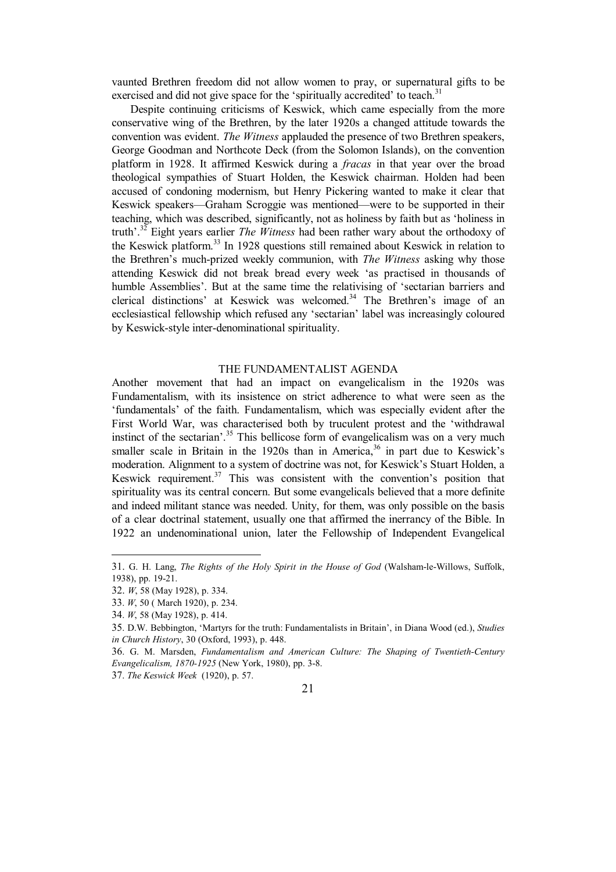vaunted Brethren freedom did not allow women to pray, or supernatural gifts to be exercised and did not give space for the 'spiritually accredited' to teach.<sup>31</sup>

Despite continuing criticisms of Keswick, which came especially from the more conservative wing of the Brethren, by the later 1920s a changed attitude towards the convention was evident. *The Witness* applauded the presence of two Brethren speakers, George Goodman and Northcote Deck (from the Solomon Islands), on the convention platform in 1928. It affirmed Keswick during a *fracas* in that year over the broad theological sympathies of Stuart Holden, the Keswick chairman. Holden had been accused of condoning modernism, but Henry Pickering wanted to make it clear that Keswick speakers—Graham Scroggie was mentioned—were to be supported in their teaching, which was described, significantly, not as holiness by faith but as 'holiness in truth'.<sup>32</sup> Eight years earlier *The Witness* had been rather wary about the orthodoxy of the Keswick platform.<sup>33</sup> In 1928 questions still remained about Keswick in relation to the Brethren's much-prized weekly communion, with *The Witness* asking why those attending Keswick did not break bread every week 'as practised in thousands of humble Assemblies'. But at the same time the relativising of 'sectarian barriers and clerical distinctions' at Keswick was welcomed.<sup>34</sup> The Brethren's image of an ecclesiastical fellowship which refused any 'sectarian' label was increasingly coloured by Keswick-style inter-denominational spirituality.

### THE FUNDAMENTALIST AGENDA

Another movement that had an impact on evangelicalism in the 1920s was Fundamentalism, with its insistence on strict adherence to what were seen as the 'fundamentals' of the faith. Fundamentalism, which was especially evident after the First World War, was characterised both by truculent protest and the 'withdrawal instinct of the sectarian'.<sup>35</sup> This bellicose form of evangelicalism was on a very much smaller scale in Britain in the 1920s than in America,  $36$  in part due to Keswick's moderation. Alignment to a system of doctrine was not, for Keswick's Stuart Holden, a Keswick requirement.<sup>37</sup> This was consistent with the convention's position that spirituality was its central concern. But some evangelicals believed that a more definite and indeed militant stance was needed. Unity, for them, was only possible on the basis of a clear doctrinal statement, usually one that affirmed the inerrancy of the Bible. In 1922 an undenominational union, later the Fellowship of Independent Evangelical

 $\overline{a}$ 



<sup>31.</sup> G. H. Lang, *The Rights of the Holy Spirit in the House of God* (Walsham-le-Willows, Suffolk, 1938), pp. 19-21.

<sup>32.</sup> *W*, 58 (May 1928), p. 334.

<sup>33</sup>. *W*, 50 ( March 1920), p. 234.

<sup>34</sup>. *W*, 58 (May 1928), p. 414.

<sup>35</sup>. D.W. Bebbington, 'Martyrs for the truth: Fundamentalists in Britain', in Diana Wood (ed.), *Studies in Church History*, 30 (Oxford, 1993), p. 448.

<sup>36</sup>. G. M. Marsden, *Fundamentalism and American Culture: The Shaping of Twentieth-Century Evangelicalism, 1870-1925* (New York, 1980), pp. 3-8.

<sup>37</sup>. *The Keswick Week* (1920), p. 57.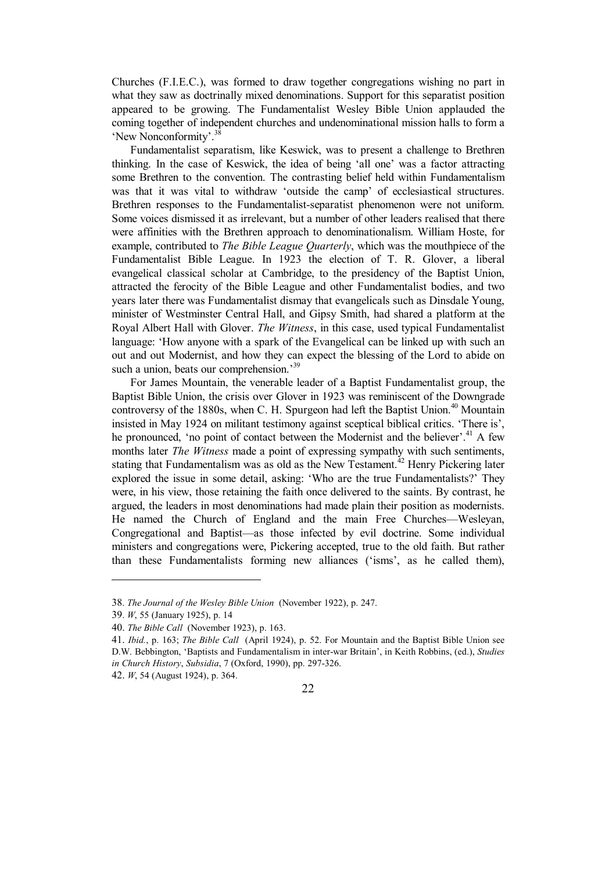Churches (F.I.E.C.), was formed to draw together congregations wishing no part in what they saw as doctrinally mixed denominations. Support for this separatist position appeared to be growing. The Fundamentalist Wesley Bible Union applauded the coming together of independent churches and undenominational mission halls to form a 'New Nonconformity'.<sup>38</sup>

Fundamentalist separatism, like Keswick, was to present a challenge to Brethren thinking. In the case of Keswick, the idea of being 'all one' was a factor attracting some Brethren to the convention. The contrasting belief held within Fundamentalism was that it was vital to withdraw 'outside the camp' of ecclesiastical structures. Brethren responses to the Fundamentalist-separatist phenomenon were not uniform. Some voices dismissed it as irrelevant, but a number of other leaders realised that there were affinities with the Brethren approach to denominationalism. William Hoste, for example, contributed to *The Bible League Quarterly*, which was the mouthpiece of the Fundamentalist Bible League. In 1923 the election of T. R. Glover, a liberal evangelical classical scholar at Cambridge, to the presidency of the Baptist Union, attracted the ferocity of the Bible League and other Fundamentalist bodies, and two years later there was Fundamentalist dismay that evangelicals such as Dinsdale Young, minister of Westminster Central Hall, and Gipsy Smith, had shared a platform at the Royal Albert Hall with Glover. *The Witness*, in this case, used typical Fundamentalist language: 'How anyone with a spark of the Evangelical can be linked up with such an out and out Modernist, and how they can expect the blessing of the Lord to abide on such a union, beats our comprehension.<sup>39</sup>

For James Mountain, the venerable leader of a Baptist Fundamentalist group, the Baptist Bible Union, the crisis over Glover in 1923 was reminiscent of the Downgrade controversy of the 1880s, when C. H. Spurgeon had left the Baptist Union.<sup>40</sup> Mountain insisted in May 1924 on militant testimony against sceptical biblical critics. 'There is', he pronounced, 'no point of contact between the Modernist and the believer'.<sup>41</sup> A few months later *The Witness* made a point of expressing sympathy with such sentiments, stating that Fundamentalism was as old as the New Testament.<sup>42</sup> Henry Pickering later explored the issue in some detail, asking: 'Who are the true Fundamentalists?' They were, in his view, those retaining the faith once delivered to the saints. By contrast, he argued, the leaders in most denominations had made plain their position as modernists. He named the Church of England and the main Free Churches—Wesleyan, Congregational and Baptist—as those infected by evil doctrine. Some individual ministers and congregations were, Pickering accepted, true to the old faith. But rather than these Fundamentalists forming new alliances ('isms', as he called them),

 $\overline{a}$ 

<sup>38</sup>. *The Journal of the Wesley Bible Union* (November 1922), p. 247.

<sup>39</sup>. *W*, 55 (January 1925), p. 14

<sup>40.</sup> *The Bible Call* (November 1923), p. 163.

<sup>41.</sup> *Ibid.*, p. 163; *The Bible Call* (April 1924), p. 52. For Mountain and the Baptist Bible Union see D.W. Bebbington, 'Baptists and Fundamentalism in inter-war Britain', in Keith Robbins, (ed.), *Studies in Church History*, *Subsidia*, 7 (Oxford, 1990), pp. 297-326.

<sup>42.</sup> *W*, 54 (August 1924), p. 364.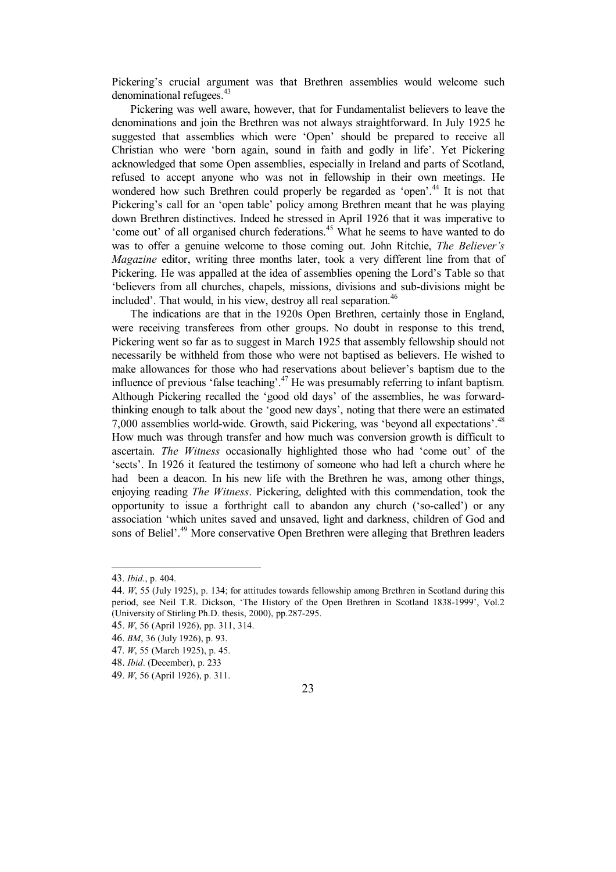Pickering's crucial argument was that Brethren assemblies would welcome such denominational refugees.<sup>43</sup>

Pickering was well aware, however, that for Fundamentalist believers to leave the denominations and join the Brethren was not always straightforward. In July 1925 he suggested that assemblies which were 'Open' should be prepared to receive all Christian who were 'born again, sound in faith and godly in life'. Yet Pickering acknowledged that some Open assemblies, especially in Ireland and parts of Scotland, refused to accept anyone who was not in fellowship in their own meetings. He wondered how such Brethren could properly be regarded as 'open'.<sup>44</sup> It is not that Pickering's call for an 'open table' policy among Brethren meant that he was playing down Brethren distinctives. Indeed he stressed in April 1926 that it was imperative to 'come out' of all organised church federations.<sup>45</sup> What he seems to have wanted to do was to offer a genuine welcome to those coming out. John Ritchie, *The Believer's Magazine* editor, writing three months later, took a very different line from that of Pickering. He was appalled at the idea of assemblies opening the Lord's Table so that 'believers from all churches, chapels, missions, divisions and sub-divisions might be included'. That would, in his view, destroy all real separation.<sup>46</sup>

The indications are that in the 1920s Open Brethren, certainly those in England, were receiving transferees from other groups. No doubt in response to this trend, Pickering went so far as to suggest in March 1925 that assembly fellowship should not necessarily be withheld from those who were not baptised as believers. He wished to make allowances for those who had reservations about believer's baptism due to the influence of previous 'false teaching'.<sup>47</sup> He was presumably referring to infant baptism. Although Pickering recalled the 'good old days' of the assemblies, he was forwardthinking enough to talk about the 'good new days', noting that there were an estimated 7,000 assemblies world-wide. Growth, said Pickering, was 'beyond all expectations'.<sup>48</sup> How much was through transfer and how much was conversion growth is difficult to ascertain. *The Witness* occasionally highlighted those who had 'come out' of the 'sects'. In 1926 it featured the testimony of someone who had left a church where he had been a deacon. In his new life with the Brethren he was, among other things, enjoying reading *The Witness*. Pickering, delighted with this commendation, took the opportunity to issue a forthright call to abandon any church ('so-called') or any association 'which unites saved and unsaved, light and darkness, children of God and sons of Beliel'.<sup>49</sup> More conservative Open Brethren were alleging that Brethren leaders

 $\overline{a}$ 

46. *BM*, 36 (July 1926), p. 93.

48. *Ibid*. (December), p. 233

<sup>43</sup>. *Ibid*., p. 404.

<sup>44</sup>. *W*, 55 (July 1925), p. 134; for attitudes towards fellowship among Brethren in Scotland during this period, see Neil T.R. Dickson, 'The History of the Open Brethren in Scotland 1838-1999', Vol.2 (University of Stirling Ph.D. thesis, 2000), pp.287-295.

<sup>45</sup>. *W*, 56 (April 1926), pp. 311, 314.

<sup>47</sup>. *W*, 55 (March 1925), p. 45.

<sup>49</sup>. *W*, 56 (April 1926), p. 311.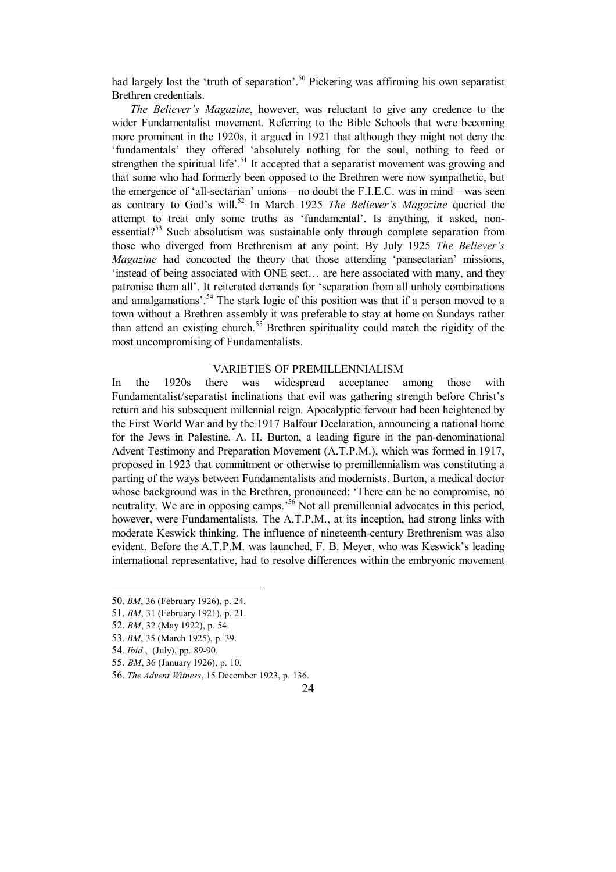had largely lost the 'truth of separation'.<sup>50</sup> Pickering was affirming his own separatist Brethren credentials.

*The Believer's Magazine*, however, was reluctant to give any credence to the wider Fundamentalist movement. Referring to the Bible Schools that were becoming more prominent in the 1920s, it argued in 1921 that although they might not deny the 'fundamentals' they offered 'absolutely nothing for the soul, nothing to feed or strengthen the spiritual life'.<sup>51</sup> It accepted that a separatist movement was growing and that some who had formerly been opposed to the Brethren were now sympathetic, but the emergence of 'all-sectarian' unions—no doubt the F.I.E.C. was in mind—was seen as contrary to God's will.<sup>52</sup> In March 1925 *The Believer's Magazine* queried the attempt to treat only some truths as 'fundamental'. Is anything, it asked, nonessential?<sup>53</sup> Such absolutism was sustainable only through complete separation from those who diverged from Brethrenism at any point. By July 1925 *The Believer's Magazine* had concocted the theory that those attending 'pansectarian' missions, 'instead of being associated with ONE sect… are here associated with many, and they patronise them all'. It reiterated demands for 'separation from all unholy combinations and amalgamations'.<sup>54</sup> The stark logic of this position was that if a person moved to a town without a Brethren assembly it was preferable to stay at home on Sundays rather than attend an existing church.<sup>55</sup> Brethren spirituality could match the rigidity of the most uncompromising of Fundamentalists.

#### VARIETIES OF PREMILLENNIALISM

In the 1920s there was widespread acceptance among those with Fundamentalist/separatist inclinations that evil was gathering strength before Christ's return and his subsequent millennial reign. Apocalyptic fervour had been heightened by the First World War and by the 1917 Balfour Declaration, announcing a national home for the Jews in Palestine. A. H. Burton, a leading figure in the pan-denominational Advent Testimony and Preparation Movement (A.T.P.M.), which was formed in 1917, proposed in 1923 that commitment or otherwise to premillennialism was constituting a parting of the ways between Fundamentalists and modernists. Burton, a medical doctor whose background was in the Brethren, pronounced: 'There can be no compromise, no neutrality. We are in opposing camps.<sup>56</sup> Not all premillennial advocates in this period, however, were Fundamentalists. The A.T.P.M., at its inception, had strong links with moderate Keswick thinking. The influence of nineteenth-century Brethrenism was also evident. Before the A.T.P.M. was launched, F. B. Meyer, who was Keswick's leading international representative, had to resolve differences within the embryonic movement

- 52. *BM*, 32 (May 1922), p. 54.
- 53. *BM*, 35 (March 1925), p. 39.
- 54. *Ibid*., (July), pp. 89-90.

 $\overline{a}$ 

- 55. *BM*, 36 (January 1926), p. 10.
- 56. *The Advent Witness*, 15 December 1923, p. 136.

<sup>50</sup>. *BM*, 36 (February 1926), p. 24.

<sup>51.</sup> *BM*, 31 (February 1921), p. 21.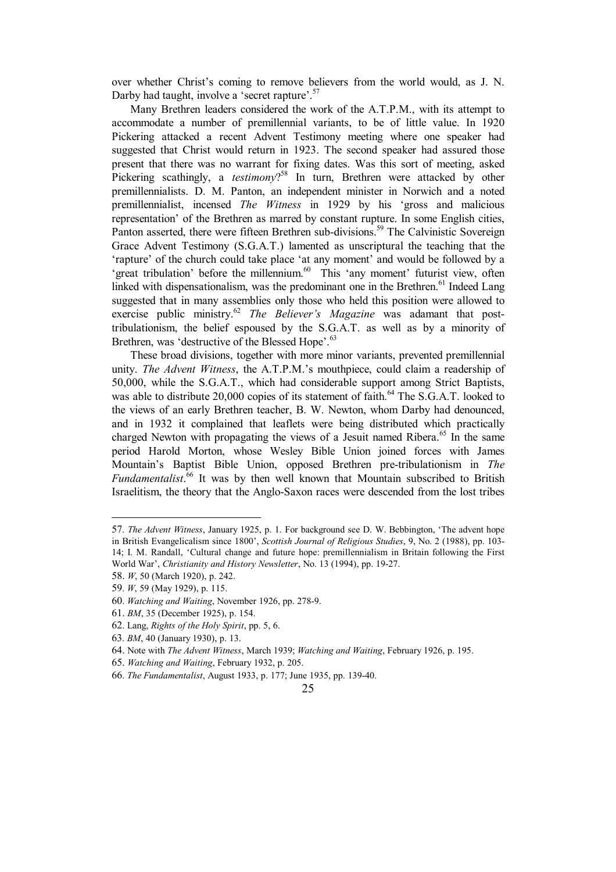over whether Christ's coming to remove believers from the world would, as J. N. Darby had taught, involve a 'secret rapture'.<sup>57</sup>

Many Brethren leaders considered the work of the A.T.P.M., with its attempt to accommodate a number of premillennial variants, to be of little value. In 1920 Pickering attacked a recent Advent Testimony meeting where one speaker had suggested that Christ would return in 1923. The second speaker had assured those present that there was no warrant for fixing dates. Was this sort of meeting, asked Pickering scathingly, a *testimony*? <sup>58</sup> In turn, Brethren were attacked by other premillennialists. D. M. Panton, an independent minister in Norwich and a noted premillennialist, incensed *The Witness* in 1929 by his 'gross and malicious representation' of the Brethren as marred by constant rupture. In some English cities, Panton asserted, there were fifteen Brethren sub-divisions.<sup>59</sup> The Calvinistic Sovereign Grace Advent Testimony (S.G.A.T.) lamented as unscriptural the teaching that the 'rapture' of the church could take place 'at any moment' and would be followed by a 'great tribulation' before the millennium.<sup>60</sup> This 'any moment' futurist view, often linked with dispensationalism, was the predominant one in the Brethren.<sup>61</sup> Indeed Lang suggested that in many assemblies only those who held this position were allowed to exercise public ministry. <sup>62</sup> *The Believer's Magazine* was adamant that posttribulationism, the belief espoused by the S.G.A.T. as well as by a minority of Brethren, was 'destructive of the Blessed Hope'.<sup>63</sup>

These broad divisions, together with more minor variants, prevented premillennial unity. *The Advent Witness*, the A.T.P.M.'s mouthpiece, could claim a readership of 50,000, while the S.G.A.T., which had considerable support among Strict Baptists, was able to distribute 20,000 copies of its statement of faith.<sup>64</sup> The S.G.A.T. looked to the views of an early Brethren teacher, B. W. Newton, whom Darby had denounced, and in 1932 it complained that leaflets were being distributed which practically charged Newton with propagating the views of a Jesuit named Ribera.<sup>65</sup> In the same period Harold Morton, whose Wesley Bible Union joined forces with James Mountain's Baptist Bible Union, opposed Brethren pre-tribulationism in *The Fundamentalist*. <sup>66</sup> It was by then well known that Mountain subscribed to British Israelitism, the theory that the Anglo-Saxon races were descended from the lost tribes

 $\overline{\phantom{a}}$ 

<sup>57</sup>. *The Advent Witness*, January 1925, p. 1. For background see D. W. Bebbington, 'The advent hope in British Evangelicalism since 1800', *Scottish Journal of Religious Studies*, 9, No. 2 (1988), pp. 103- 14; I. M. Randall, 'Cultural change and future hope: premillennialism in Britain following the First World War', *Christianity and History Newsletter*, No. 13 (1994), pp. 19-27.

<sup>58.</sup> *W*, 50 (March 1920), p. 242.

<sup>59</sup>. *W*, 59 (May 1929), p. 115.

<sup>60</sup>. *Watching and Waiting*, November 1926, pp. 278-9.

<sup>61.</sup> *BM*, 35 (December 1925), p. 154.

<sup>62</sup>. Lang, *Rights of the Holy Spirit*, pp. 5, 6.

<sup>63</sup>. *BM*, 40 (January 1930), p. 13.

<sup>64.</sup> Note with *The Advent Witness*, March 1939; *Watching and Waiting*, February 1926, p. 195.

<sup>65.</sup> *Watching and Waiting*, February 1932, p. 205.

<sup>66</sup>. *The Fundamentalist*, August 1933, p. 177; June 1935, pp. 139-40.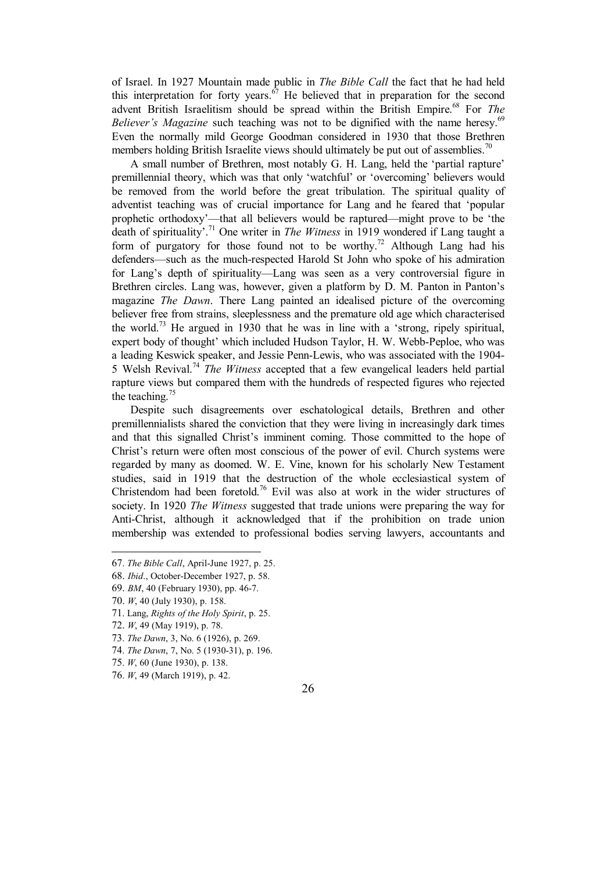of Israel. In 1927 Mountain made public in *The Bible Call* the fact that he had held this interpretation for forty years. $67$  He believed that in preparation for the second advent British Israelitism should be spread within the British Empire.<sup>68</sup> For *The Believer's Magazine* such teaching was not to be dignified with the name heresy. 69 Even the normally mild George Goodman considered in 1930 that those Brethren members holding British Israelite views should ultimately be put out of assemblies.<sup>70</sup>

A small number of Brethren, most notably G. H. Lang, held the 'partial rapture' premillennial theory, which was that only 'watchful' or 'overcoming' believers would be removed from the world before the great tribulation. The spiritual quality of adventist teaching was of crucial importance for Lang and he feared that 'popular prophetic orthodoxy'—that all believers would be raptured—might prove to be 'the death of spirituality<sup>'.71</sup> One writer in *The Witness* in 1919 wondered if Lang taught a form of purgatory for those found not to be worthy.<sup>72</sup> Although Lang had his defenders—such as the much-respected Harold St John who spoke of his admiration for Lang's depth of spirituality—Lang was seen as a very controversial figure in Brethren circles. Lang was, however, given a platform by D. M. Panton in Panton's magazine *The Dawn*. There Lang painted an idealised picture of the overcoming believer free from strains, sleeplessness and the premature old age which characterised the world.<sup>73</sup> He argued in 1930 that he was in line with a 'strong, ripely spiritual, expert body of thought' which included Hudson Taylor, H. W. Webb-Peploe, who was a leading Keswick speaker, and Jessie Penn-Lewis, who was associated with the 1904- 5 Welsh Revival.<sup>74</sup> *The Witness* accepted that a few evangelical leaders held partial rapture views but compared them with the hundreds of respected figures who rejected the teaching. $75$ 

Despite such disagreements over eschatological details, Brethren and other premillennialists shared the conviction that they were living in increasingly dark times and that this signalled Christ's imminent coming. Those committed to the hope of Christ's return were often most conscious of the power of evil. Church systems were regarded by many as doomed. W. E. Vine, known for his scholarly New Testament studies, said in 1919 that the destruction of the whole ecclesiastical system of Christendom had been foretold.<sup>76</sup> Evil was also at work in the wider structures of society. In 1920 *The Witness* suggested that trade unions were preparing the way for Anti-Christ, although it acknowledged that if the prohibition on trade union membership was extended to professional bodies serving lawyers, accountants and

 $\overline{a}$ 

- 72. *W*, 49 (May 1919), p. 78.
- 73. *The Dawn*, 3, No. 6 (1926), p. 269.
- 74. *The Dawn*, 7, No. 5 (1930-31), p. 196.
- 75. *W*, 60 (June 1930), p. 138.
- 76. *W*, 49 (March 1919), p. 42.

<sup>67</sup>. *The Bible Call*, April-June 1927, p. 25.

<sup>68.</sup> *Ibid*., October-December 1927, p. 58.

<sup>69.</sup> *BM*, 40 (February 1930), pp. 46-7.

<sup>70.</sup> *W*, 40 (July 1930), p. 158.

<sup>71</sup>. Lang, *Rights of the Holy Spirit*, p. 25.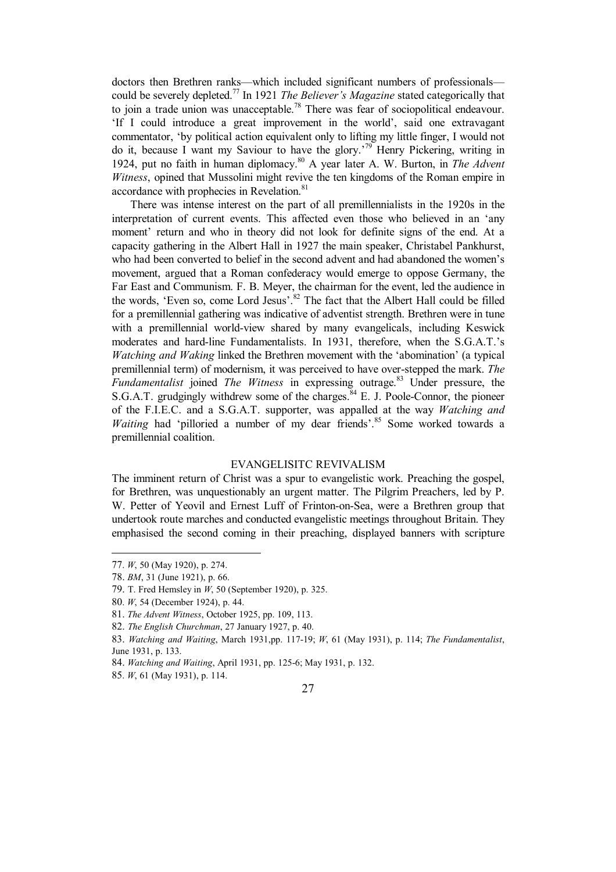doctors then Brethren ranks—which included significant numbers of professionals could be severely depleted.<sup>77</sup> In 1921 *The Believer's Magazine* stated categorically that to join a trade union was unacceptable.<sup>78</sup> There was fear of sociopolitical endeavour. 'If I could introduce a great improvement in the world', said one extravagant commentator, 'by political action equivalent only to lifting my little finger, I would not do it, because I want my Saviour to have the glory.'<sup>79</sup> Henry Pickering, writing in 1924, put no faith in human diplomacy. <sup>80</sup> A year later A. W. Burton, in *The Advent Witness*, opined that Mussolini might revive the ten kingdoms of the Roman empire in accordance with prophecies in Revelation.<sup>81</sup>

There was intense interest on the part of all premillennialists in the 1920s in the interpretation of current events. This affected even those who believed in an 'any moment' return and who in theory did not look for definite signs of the end. At a capacity gathering in the Albert Hall in 1927 the main speaker, Christabel Pankhurst, who had been converted to belief in the second advent and had abandoned the women's movement, argued that a Roman confederacy would emerge to oppose Germany, the Far East and Communism. F. B. Meyer, the chairman for the event, led the audience in the words, 'Even so, come Lord Jesus'. $82$  The fact that the Albert Hall could be filled for a premillennial gathering was indicative of adventist strength. Brethren were in tune with a premillennial world-view shared by many evangelicals, including Keswick moderates and hard-line Fundamentalists. In 1931, therefore, when the S.G.A.T.'s *Watching and Waking* linked the Brethren movement with the 'abomination' (a typical premillennial term) of modernism, it was perceived to have over-stepped the mark. *The Fundamentalist* joined *The Witness* in expressing outrage.<sup>83</sup> Under pressure, the S.G.A.T. grudgingly withdrew some of the charges.<sup>84</sup> E. J. Poole-Connor, the pioneer of the F.I.E.C. and a S.G.A.T. supporter, was appalled at the way *Watching and Waiting* had 'pilloried a number of my dear friends'.<sup>85</sup> Some worked towards a premillennial coalition.

#### EVANGELISITC REVIVALISM

The imminent return of Christ was a spur to evangelistic work. Preaching the gospel, for Brethren, was unquestionably an urgent matter. The Pilgrim Preachers, led by P. W. Petter of Yeovil and Ernest Luff of Frinton-on-Sea, were a Brethren group that undertook route marches and conducted evangelistic meetings throughout Britain. They emphasised the second coming in their preaching, displayed banners with scripture

 $\overline{\phantom{a}}$ 

<sup>77</sup>. *W*, 50 (May 1920), p. 274.

<sup>78.</sup> *BM*, 31 (June 1921), p. 66.

<sup>79.</sup> T. Fred Hemsley in *W*, 50 (September 1920), p. 325.

<sup>80</sup>. *W*, 54 (December 1924), p. 44.

<sup>81.</sup> *The Advent Witness*, October 1925, pp. 109, 113.

<sup>82.</sup> *The English Churchman*, 27 January 1927, p. 40.

<sup>83.</sup> *Watching and Waiting*, March 1931,pp. 117-19; *W*, 61 (May 1931), p. 114; *The Fundamentalist*, June 1931, p. 133.

<sup>84.</sup> *Watching and Waiting*, April 1931, pp. 125-6; May 1931, p. 132.

<sup>85</sup>. *W*, 61 (May 1931), p. 114.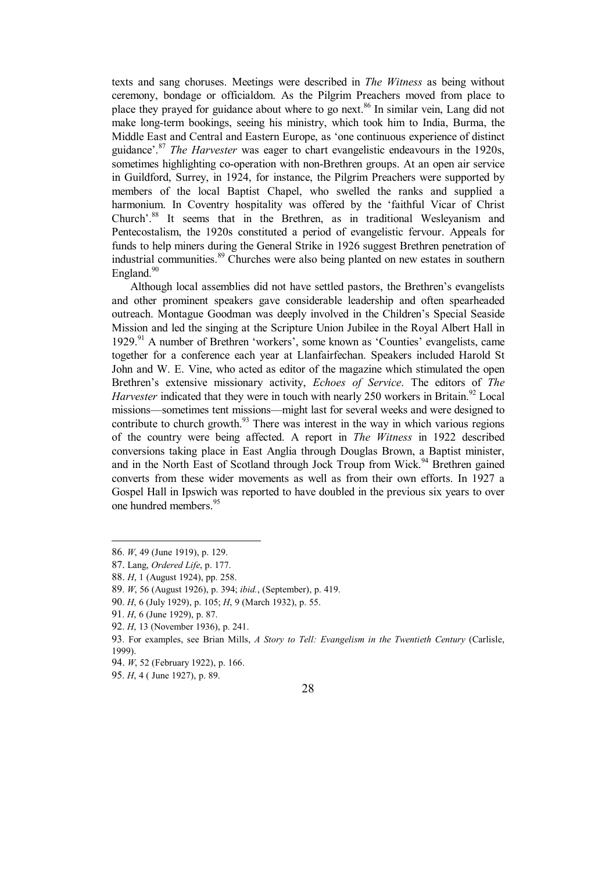texts and sang choruses. Meetings were described in *The Witness* as being without ceremony, bondage or officialdom. As the Pilgrim Preachers moved from place to place they prayed for guidance about where to go next.<sup>86</sup> In similar vein. Lang did not make long-term bookings, seeing his ministry, which took him to India, Burma, the Middle East and Central and Eastern Europe, as 'one continuous experience of distinct guidance'.<sup>87</sup> *The Harvester* was eager to chart evangelistic endeavours in the 1920s, sometimes highlighting co-operation with non-Brethren groups. At an open air service in Guildford, Surrey, in 1924, for instance, the Pilgrim Preachers were supported by members of the local Baptist Chapel, who swelled the ranks and supplied a harmonium. In Coventry hospitality was offered by the 'faithful Vicar of Christ Church'.<sup>88</sup> It seems that in the Brethren, as in traditional Wesleyanism and Pentecostalism, the 1920s constituted a period of evangelistic fervour. Appeals for funds to help miners during the General Strike in 1926 suggest Brethren penetration of industrial communities.<sup>89</sup> Churches were also being planted on new estates in southern England.<sup>90</sup>

Although local assemblies did not have settled pastors, the Brethren's evangelists and other prominent speakers gave considerable leadership and often spearheaded outreach. Montague Goodman was deeply involved in the Children's Special Seaside Mission and led the singing at the Scripture Union Jubilee in the Royal Albert Hall in 1929.<sup>91</sup> A number of Brethren 'workers', some known as 'Counties' evangelists, came together for a conference each year at Llanfairfechan. Speakers included Harold St John and W. E. Vine, who acted as editor of the magazine which stimulated the open Brethren's extensive missionary activity, *Echoes of Service*. The editors of *The Harvester* indicated that they were in touch with nearly 250 workers in Britain.<sup>92</sup> Local missions—sometimes tent missions—might last for several weeks and were designed to contribute to church growth. $93$  There was interest in the way in which various regions of the country were being affected. A report in *The Witness* in 1922 described conversions taking place in East Anglia through Douglas Brown, a Baptist minister, and in the North East of Scotland through Jock Troup from Wick.<sup>94</sup> Brethren gained converts from these wider movements as well as from their own efforts. In 1927 a Gospel Hall in Ipswich was reported to have doubled in the previous six years to over one hundred members.<sup>95</sup>

<sup>86</sup>. *W*, 49 (June 1919), p. 129.

<sup>87.</sup> Lang, *Ordered Life*, p. 177.

<sup>88.</sup> *H*, 1 (August 1924), pp. 258.

<sup>89</sup>. *W*, 56 (August 1926), p. 394; *ibid.*, (September), p. 419.

<sup>90</sup>. *H*, 6 (July 1929), p. 105; *H*, 9 (March 1932), p. 55.

<sup>91</sup>. *H*, 6 (June 1929), p. 87.

<sup>92</sup>. *H*, 13 (November 1936), p. 241.

<sup>93</sup>. For examples, see Brian Mills, *A Story to Tell: Evangelism in the Twentieth Century* (Carlisle, 1999).

<sup>94.</sup> *W*, 52 (February 1922), p. 166.

<sup>95</sup>. *H*, 4 ( June 1927), p. 89.

<sup>28</sup>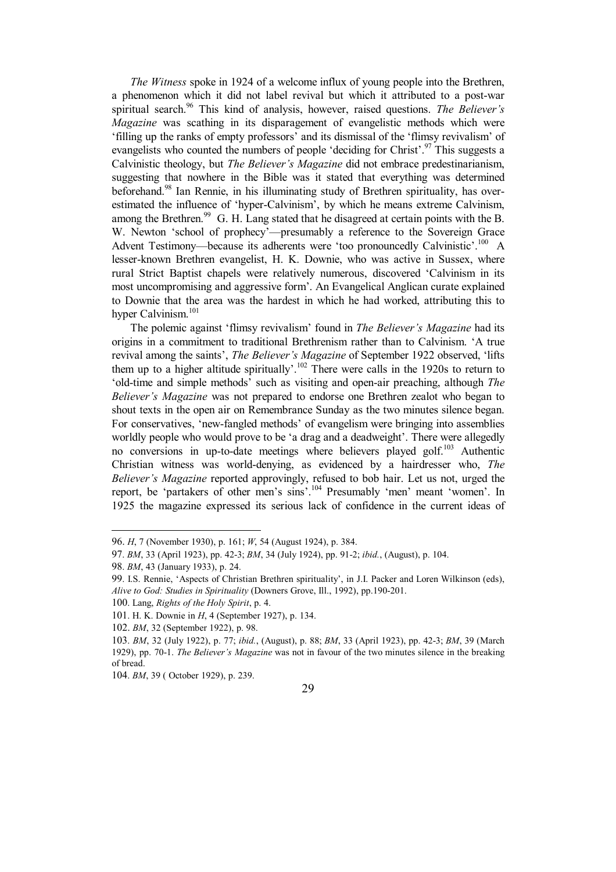*The Witness* spoke in 1924 of a welcome influx of young people into the Brethren, a phenomenon which it did not label revival but which it attributed to a post-war spiritual search.<sup>96</sup> This kind of analysis, however, raised questions. *The Believer's Magazine* was scathing in its disparagement of evangelistic methods which were 'filling up the ranks of empty professors' and its dismissal of the 'flimsy revivalism' of evangelists who counted the numbers of people 'deciding for Christ'.<sup>97</sup> This suggests a Calvinistic theology, but *The Believer's Magazine* did not embrace predestinarianism, suggesting that nowhere in the Bible was it stated that everything was determined beforehand.<sup>98</sup> Ian Rennie, in his illuminating study of Brethren spirituality, has overestimated the influence of 'hyper-Calvinism', by which he means extreme Calvinism, among the Brethren.<sup>99</sup> G. H. Lang stated that he disagreed at certain points with the B. W. Newton 'school of prophecy'—presumably a reference to the Sovereign Grace Advent Testimony—because its adherents were 'too pronouncedly Calvinistic'.<sup>100</sup> A lesser-known Brethren evangelist, H. K. Downie, who was active in Sussex, where rural Strict Baptist chapels were relatively numerous, discovered 'Calvinism in its most uncompromising and aggressive form'. An Evangelical Anglican curate explained to Downie that the area was the hardest in which he had worked, attributing this to hyper Calvinism.<sup>101</sup>

The polemic against 'flimsy revivalism' found in *The Believer's Magazine* had its origins in a commitment to traditional Brethrenism rather than to Calvinism. 'A true revival among the saints', *The Believer's Magazine* of September 1922 observed, 'lifts them up to a higher altitude spiritually'.<sup>102</sup> There were calls in the 1920s to return to 'old-time and simple methods' such as visiting and open-air preaching, although *The Believer's Magazine* was not prepared to endorse one Brethren zealot who began to shout texts in the open air on Remembrance Sunday as the two minutes silence began. For conservatives, 'new-fangled methods' of evangelism were bringing into assemblies worldly people who would prove to be 'a drag and a deadweight'. There were allegedly no conversions in up-to-date meetings where believers played golf.<sup>103</sup> Authentic Christian witness was world-denying, as evidenced by a hairdresser who, *The Believer's Magazine* reported approvingly, refused to bob hair. Let us not, urged the report, be 'partakers of other men's sins'.<sup>104</sup> Presumably 'men' meant 'women'. In 1925 the magazine expressed its serious lack of confidence in the current ideas of



<sup>96.</sup> *H*, 7 (November 1930), p. 161; *W*, 54 (August 1924), p. 384.

<sup>97</sup>. *BM*, 33 (April 1923), pp. 42-3; *BM*, 34 (July 1924), pp. 91-2; *ibid.*, (August), p. 104.

<sup>98</sup>. *BM*, 43 (January 1933), p. 24.

<sup>99</sup>. I.S. Rennie, 'Aspects of Christian Brethren spirituality', in J.I. Packer and Loren Wilkinson (eds), *Alive to God: Studies in Spirituality* (Downers Grove, Ill., 1992), pp.190-201.

<sup>100</sup>. Lang, *Rights of the Holy Spirit*, p. 4.

<sup>101</sup>. H. K. Downie in *H*, 4 (September 1927), p. 134.

<sup>102.</sup> *BM*, 32 (September 1922), p. 98.

<sup>103</sup>. *BM*, 32 (July 1922), p. 77; *ibid.*, (August), p. 88; *BM*, 33 (April 1923), pp. 42-3; *BM*, 39 (March 1929), pp. 70-1. *The Believer's Magazine* was not in favour of the two minutes silence in the breaking of bread.

<sup>104</sup>. *BM*, 39 ( October 1929), p. 239.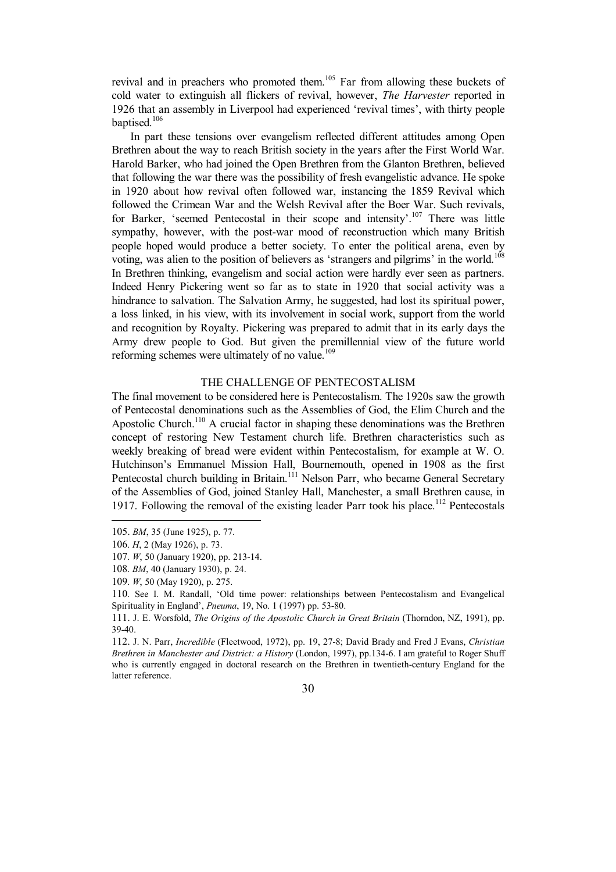revival and in preachers who promoted them.<sup>105</sup> Far from allowing these buckets of cold water to extinguish all flickers of revival, however, *The Harvester* reported in 1926 that an assembly in Liverpool had experienced 'revival times', with thirty people baptised.<sup>106</sup>

In part these tensions over evangelism reflected different attitudes among Open Brethren about the way to reach British society in the years after the First World War. Harold Barker, who had joined the Open Brethren from the Glanton Brethren, believed that following the war there was the possibility of fresh evangelistic advance. He spoke in 1920 about how revival often followed war, instancing the 1859 Revival which followed the Crimean War and the Welsh Revival after the Boer War. Such revivals, for Barker, 'seemed Pentecostal in their scope and intensity'.<sup>107</sup> There was little sympathy, however, with the post-war mood of reconstruction which many British people hoped would produce a better society. To enter the political arena, even by voting, was alien to the position of believers as 'strangers and pilgrims' in the world.<sup>108</sup> In Brethren thinking, evangelism and social action were hardly ever seen as partners. Indeed Henry Pickering went so far as to state in 1920 that social activity was a hindrance to salvation. The Salvation Army, he suggested, had lost its spiritual power, a loss linked, in his view, with its involvement in social work, support from the world and recognition by Royalty. Pickering was prepared to admit that in its early days the Army drew people to God. But given the premillennial view of the future world reforming schemes were ultimately of no value.<sup>109</sup>

## THE CHALLENGE OF PENTECOSTALISM

The final movement to be considered here is Pentecostalism. The 1920s saw the growth of Pentecostal denominations such as the Assemblies of God, the Elim Church and the Apostolic Church.<sup>110</sup> A crucial factor in shaping these denominations was the Brethren concept of restoring New Testament church life. Brethren characteristics such as weekly breaking of bread were evident within Pentecostalism, for example at W. O. Hutchinson's Emmanuel Mission Hall, Bournemouth, opened in 1908 as the first Pentecostal church building in Britain.<sup>111</sup> Nelson Parr, who became General Secretary of the Assemblies of God, joined Stanley Hall, Manchester, a small Brethren cause, in 1917. Following the removal of the existing leader Parr took his place.<sup>112</sup> Pentecostals

<sup>105.</sup> *BM*, 35 (June 1925), p. 77.

<sup>106</sup>. *H*, 2 (May 1926), p. 73.

<sup>107</sup>. *W*, 50 (January 1920), pp. 213-14.

<sup>108</sup>. *BM*, 40 (January 1930), p. 24.

<sup>109</sup>. *W*, 50 (May 1920), p. 275.

<sup>110</sup>. See I. M. Randall, 'Old time power: relationships between Pentecostalism and Evangelical Spirituality in England', *Pneuma*, 19, No. 1 (1997) pp. 53-80.

<sup>111.</sup> J. E. Worsfold, *The Origins of the Apostolic Church in Great Britain* (Thorndon, NZ, 1991), pp. 39-40.

<sup>112.</sup> J. N. Parr, *Incredible* (Fleetwood, 1972), pp. 19, 27-8; David Brady and Fred J Evans, *Christian Brethren in Manchester and District: a History* (London, 1997), pp.134-6. I am grateful to Roger Shuff who is currently engaged in doctoral research on the Brethren in twentieth-century England for the latter reference.

<sup>30</sup>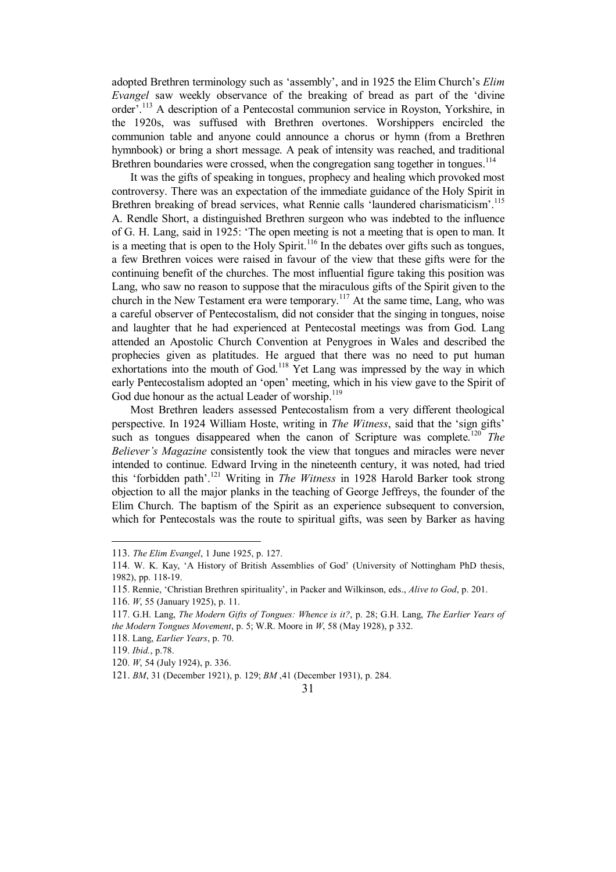adopted Brethren terminology such as 'assembly', and in 1925 the Elim Church's *Elim Evangel* saw weekly observance of the breaking of bread as part of the 'divine order'.<sup>113</sup> A description of a Pentecostal communion service in Royston, Yorkshire, in the 1920s, was suffused with Brethren overtones. Worshippers encircled the communion table and anyone could announce a chorus or hymn (from a Brethren hymnbook) or bring a short message. A peak of intensity was reached, and traditional Brethren boundaries were crossed, when the congregation sang together in tongues.<sup>114</sup>

It was the gifts of speaking in tongues, prophecy and healing which provoked most controversy. There was an expectation of the immediate guidance of the Holy Spirit in Brethren breaking of bread services, what Rennie calls 'laundered charismaticism'.<sup>115</sup> A. Rendle Short, a distinguished Brethren surgeon who was indebted to the influence of G. H. Lang, said in 1925: 'The open meeting is not a meeting that is open to man. It is a meeting that is open to the Holy Spirit.<sup>116</sup> In the debates over gifts such as tongues, a few Brethren voices were raised in favour of the view that these gifts were for the continuing benefit of the churches. The most influential figure taking this position was Lang, who saw no reason to suppose that the miraculous gifts of the Spirit given to the church in the New Testament era were temporary.<sup>117</sup> At the same time, Lang, who was a careful observer of Pentecostalism, did not consider that the singing in tongues, noise and laughter that he had experienced at Pentecostal meetings was from God. Lang attended an Apostolic Church Convention at Penygroes in Wales and described the prophecies given as platitudes. He argued that there was no need to put human exhortations into the mouth of  $God.118$  Yet Lang was impressed by the way in which early Pentecostalism adopted an 'open' meeting, which in his view gave to the Spirit of God due honour as the actual Leader of worship.<sup>119</sup>

Most Brethren leaders assessed Pentecostalism from a very different theological perspective. In 1924 William Hoste, writing in *The Witness*, said that the 'sign gifts' such as tongues disappeared when the canon of Scripture was complete.<sup>120</sup> *The Believer's Magazine* consistently took the view that tongues and miracles were never intended to continue. Edward Irving in the nineteenth century, it was noted, had tried this 'forbidden path'.<sup>121</sup> Writing in *The Witness* in 1928 Harold Barker took strong objection to all the major planks in the teaching of George Jeffreys, the founder of the Elim Church. The baptism of the Spirit as an experience subsequent to conversion, which for Pentecostals was the route to spiritual gifts, was seen by Barker as having

 $\overline{\phantom{a}}$ 

<sup>113.</sup> *The Elim Evangel*, 1 June 1925, p. 127.

<sup>114</sup>. W. K. Kay, 'A History of British Assemblies of God' (University of Nottingham PhD thesis, 1982), pp. 118-19.

<sup>115</sup>. Rennie, 'Christian Brethren spirituality', in Packer and Wilkinson, eds., *Alive to God*, p. 201.

<sup>116</sup>. *W*, 55 (January 1925), p. 11.

<sup>117</sup>. G.H. Lang, *The Modern Gifts of Tongues: Whence is it?*, p. 28; G.H. Lang, *The Earlier Years of the Modern Tongues Movement*, p. 5; W.R. Moore in *W*, 58 (May 1928), p 332.

<sup>118</sup>. Lang, *Earlier Years*, p. 70.

<sup>119</sup>. *Ibid.*, p.78.

<sup>120</sup>. *W*, 54 (July 1924), p. 336.

<sup>121.</sup> *BM*, 31 (December 1921), p. 129; *BM* ,41 (December 1931), p. 284.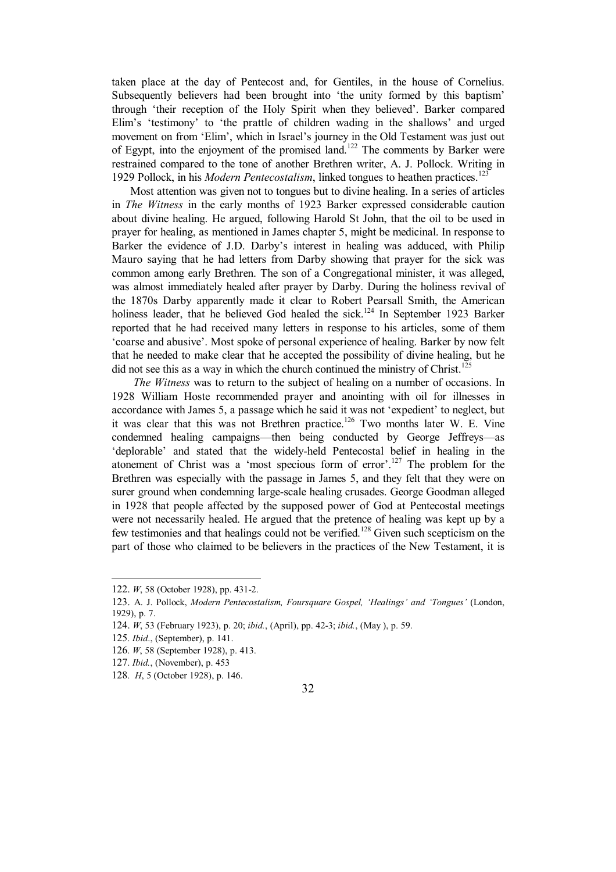taken place at the day of Pentecost and, for Gentiles, in the house of Cornelius. Subsequently believers had been brought into 'the unity formed by this baptism' through 'their reception of the Holy Spirit when they believed'. Barker compared Elim's 'testimony' to 'the prattle of children wading in the shallows' and urged movement on from 'Elim', which in Israel's journey in the Old Testament was just out of Egypt, into the enjoyment of the promised land.<sup>122</sup> The comments by Barker were restrained compared to the tone of another Brethren writer, A. J. Pollock. Writing in 1929 Pollock, in his *Modern Pentecostalism*, linked tongues to heathen practices.<sup>123</sup>

Most attention was given not to tongues but to divine healing. In a series of articles in *The Witness* in the early months of 1923 Barker expressed considerable caution about divine healing. He argued, following Harold St John, that the oil to be used in prayer for healing, as mentioned in James chapter 5, might be medicinal. In response to Barker the evidence of J.D. Darby's interest in healing was adduced, with Philip Mauro saying that he had letters from Darby showing that prayer for the sick was common among early Brethren. The son of a Congregational minister, it was alleged, was almost immediately healed after prayer by Darby. During the holiness revival of the 1870s Darby apparently made it clear to Robert Pearsall Smith, the American holiness leader, that he believed God healed the sick.<sup>124</sup> In September 1923 Barker reported that he had received many letters in response to his articles, some of them 'coarse and abusive'. Most spoke of personal experience of healing. Barker by now felt that he needed to make clear that he accepted the possibility of divine healing, but he did not see this as a way in which the church continued the ministry of Christ.<sup>125</sup>

*The Witness* was to return to the subject of healing on a number of occasions. In 1928 William Hoste recommended prayer and anointing with oil for illnesses in accordance with James 5, a passage which he said it was not 'expedient' to neglect, but it was clear that this was not Brethren practice.<sup>126</sup> Two months later W. E. Vine condemned healing campaigns—then being conducted by George Jeffreys—as 'deplorable' and stated that the widely-held Pentecostal belief in healing in the atonement of Christ was a 'most specious form of error'.<sup>127</sup> The problem for the Brethren was especially with the passage in James 5, and they felt that they were on surer ground when condemning large-scale healing crusades. George Goodman alleged in 1928 that people affected by the supposed power of God at Pentecostal meetings were not necessarily healed. He argued that the pretence of healing was kept up by a few testimonies and that healings could not be verified.<sup>128</sup> Given such scepticism on the part of those who claimed to be believers in the practices of the New Testament, it is

 $\overline{\phantom{a}}$ 

<sup>122.</sup> *W*, 58 (October 1928), pp. 431-2.

<sup>123.</sup> A. J. Pollock, *Modern Pentecostalism, Foursquare Gospel, 'Healings' and 'Tongues'* (London, 1929), p. 7.

<sup>124.</sup> *W*, 53 (February 1923), p. 20; *ibid.*, (April), pp. 42-3; *ibid.*, (May ), p. 59.

<sup>125</sup>. *Ibid*., (September), p. 141.

<sup>126</sup>. *W*, 58 (September 1928), p. 413.

<sup>127</sup>. *Ibid.*, (November), p. 453

<sup>128</sup>. *H*, 5 (October 1928), p. 146.